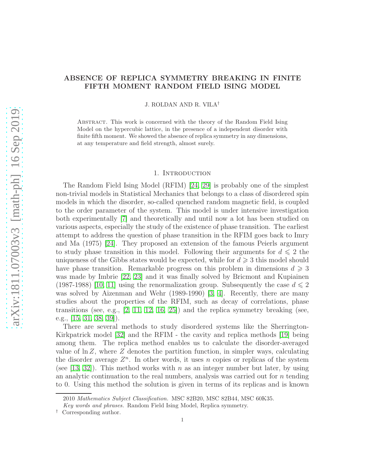# ABSENCE OF REPLICA SYMMETRY BREAKING IN FINITE FIFTH MOMENT RANDOM FIELD ISING MODEL

J. ROLDAN AND R. VILA†

Abstract. This work is concerned with the theory of the Random Field Ising Model on the hypercubic lattice, in the presence of a independent disorder with finite fifth moment. We showed the absence of replica symmetry in any dimensions, at any temperature and field strength, almost surely.

## 1. INTRODUCTION

The Random Field Ising Model (RFIM) [\[24,](#page-17-0) [29\]](#page-18-0) is probably one of the simplest non-trivial models in Statistical Mechanics that belongs to a class of disordered spin models in which the disorder, so-called quenched random magnetic field, is coupled to the order parameter of the system. This model is under intensive investigation both experimentally [\[7\]](#page-17-1) and theoretically and until now a lot has been studied on various aspects, especially the study of the existence of phase transition. The earliest attempt to address the question of phase transition in the RFIM goes back to Imry and Ma (1975) [\[24\]](#page-17-0). They proposed an extension of the famous Peierls argument to study phase transition in this model. Following their arguments for  $d \leq 2$  the uniqueness of the Gibbs states would be expected, while for  $d \geq 3$  this model should have phase transition. Remarkable progress on this problem in dimensions  $d \geq 3$ was made by Imbrie [\[22,](#page-17-2) [23\]](#page-17-3) and it was finally solved by Bricmont and Kupiainen (1987-1988) [\[10,](#page-17-4) [11\]](#page-17-5) using the renormalization group. Subsequently the case  $d \leq 2$ was solved by Aizenman and Wehr (1989-1990) [\[3,](#page-16-0) [4\]](#page-16-1). Recently, there are many studies about the properties of the RFIM, such as decay of correlations, phase transitions (see, e.g.,  $[2, 11, 12, 16, 25]$  $[2, 11, 12, 16, 25]$  $[2, 11, 12, 16, 25]$  $[2, 11, 12, 16, 25]$  $[2, 11, 12, 16, 25]$ ) and the replica symmetry breaking (see, e.g., [\[15,](#page-17-9) [31,](#page-18-1) [38,](#page-18-2) [39\]](#page-18-3)).

There are several methods to study disordered systems like the Sherrington-Kirkpatrick model [\[32\]](#page-18-4) and the RFIM - the cavity and replica methods [\[19\]](#page-17-10) being among them. The replica method enables us to calculate the disorder-averaged value of  $\ln Z$ , where  $Z$  denotes the partition function, in simpler ways, calculating the disorder average  $Z<sup>n</sup>$ . In other words, it uses n copies or replicas of the system (see [\[13,](#page-17-11) [32\]](#page-18-4)). This method works with n as an integer number but later, by using an analytic continuation to the real numbers, analysis was carried out for  $n$  tending to 0. Using this method the solution is given in terms of its replicas and is known

<sup>2010</sup> Mathematics Subject Classification. MSC 82B20, MSC 82B44, MSC 60K35.

Key words and phrases. Random Field Ising Model, Replica symmetry.

<sup>†</sup> Corresponding author.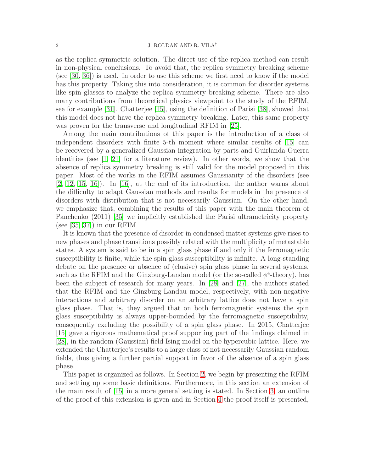as the replica-symmetric solution. The direct use of the replica method can result in non-physical conclusions. To avoid that, the replica symmetry breaking scheme (see [\[30,](#page-18-5) [36\]](#page-18-6)) is used. In order to use this scheme we first need to know if the model has this property. Taking this into consideration, it is common for disorder systems like spin glasses to analyze the replica symmetry breaking scheme. There are also many contributions from theoretical physics viewpoint to the study of the RFIM, see for example [\[31\]](#page-18-1). Chatterjee [\[15\]](#page-17-9), using the definition of Parisi [\[38\]](#page-18-2), showed that this model does not have the replica symmetry breaking. Later, this same property was proven for the transverse and longitudinal RFIM in [\[25\]](#page-17-8).

Among the main contributions of this paper is the introduction of a class of independent disorders with finite 5-th moment where similar results of [\[15\]](#page-17-9) can be recovered by a generalized Gaussian integration by parts and Guirlanda-Guerra identities (see  $\begin{bmatrix} 1, 21 \end{bmatrix}$  for a literature review). In other words, we show that the absence of replica symmetry breaking is still valid for the model proposed in this paper. Most of the works in the RFIM assumes Gaussianity of the disorders (see  $[2, 12, 15, 16]$  $[2, 12, 15, 16]$  $[2, 12, 15, 16]$  $[2, 12, 15, 16]$ . In  $[16]$ , at the end of its introduction, the author warns about the difficulty to adapt Gaussian methods and results for models in the presence of disorders with distribution that is not necessarily Gaussian. On the other hand, we emphasize that, combining the results of this paper with the main theorem of Panchenko (2011) [\[35\]](#page-18-7) we implicitly established the Parisi ultrametricity property (see [\[35,](#page-18-7) [37\]](#page-18-8)) in our RFIM.

It is known that the presence of disorder in condensed matter systems give rises to new phases and phase transitions possibly related with the multiplicity of metastable states. A system is said to be in a spin glass phase if and only if the ferromagnetic susceptibility is finite, while the spin glass susceptibility is infinite. A long-standing debate on the presence or absence of (elusive) spin glass phase in several systems, such as the RFIM and the Ginzburg-Landau model (or the so-called  $\phi^4$ -theory), has been the subject of research for many years. In [\[28\]](#page-17-13) and [\[27\]](#page-17-14), the authors stated that the RFIM and the Ginzburg-Landau model, respectively, with non-negative interactions and arbitrary disorder on an arbitrary lattice does not have a spin glass phase. That is, they argued that on both ferromagnetic systems the spin glass susceptibility is always upper-bounded by the ferromagnetic susceptibility, consequently excluding the possibility of a spin glass phase. In 2015, Chatterjee [\[15\]](#page-17-9) gave a rigorous mathematical proof supporting part of the findings claimed in [\[28\]](#page-17-13), in the random (Gaussian) field Ising model on the hypercubic lattice. Here, we extended the Chatterjee's results to a large class of not necessarily Gaussian random fields, thus giving a further partial support in favor of the absence of a spin glass phase.

This paper is organized as follows. In Section [2,](#page-2-0) we begin by presenting the RFIM and setting up some basic definitions. Furthermore, in this section an extension of the main result of [\[15\]](#page-17-9) in a more general setting is stated. In Section [3,](#page-4-0) an outline of the proof of this extension is given and in Section [4](#page-6-0) the proof itself is presented,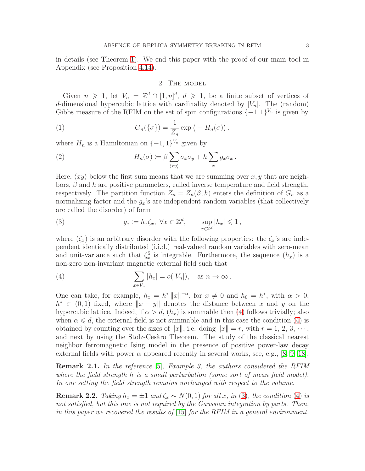<span id="page-2-0"></span>in details (see Theorem [1\)](#page-4-1). We end this paper with the proof of our main tool in Appendix (see Proposition [4.14\)](#page-15-0).

### 2. The model

Given  $n \geq 1$ , let  $V_n = \mathbb{Z}^d \cap [1, n]^d$ ,  $d \geq 1$ , be a finite subset of vertices of d-dimensional hypercubic lattice with cardinality denoted by  $|V_n|$ . The (random) Gibbs measure of the RFIM on the set of spin configurations  $\{-1,1\}^{V_n}$  is given by

<span id="page-2-3"></span>(1) 
$$
G_n(\{\sigma\}) = \frac{1}{Z_n} \exp\left(-H_n(\sigma)\right),
$$

where  $H_n$  is a Hamiltonian on  $\{-1,1\}^{V_n}$  given by

<span id="page-2-4"></span>(2) 
$$
-H_n(\sigma) := \beta \sum_{\langle xy \rangle} \sigma_x \sigma_y + h \sum_x g_x \sigma_x.
$$

Here,  $\langle xy \rangle$  below the first sum means that we are summing over x, y that are neighbors,  $\beta$  and h are positive parameters, called inverse temperature and field strength, respectively. The partition function  $Z_n = Z_n(\beta, h)$  enters the definition of  $G_n$  as a normalizing factor and the  $g_x$ 's are independent random variables (that collectively are called the disorder) of form

<span id="page-2-2"></span>(3) 
$$
g_x := h_x \zeta_x, \ \forall x \in \mathbb{Z}^d, \qquad \sup_{x \in \mathbb{Z}^d} |h_x| \leq 1,
$$

where  $(\zeta_x)$  is an arbitrary disorder with the following properties: the  $\zeta_x$ 's are independent identically distributed (i.i.d.) real-valued random variables with zero-mean and unit-variance such that  $\zeta_x^5$  is integrable. Furthermore, the sequence  $(h_x)$  is a non-zero non-invariant magnetic external field such that

<span id="page-2-1"></span>(4) 
$$
\sum_{x \in V_n} |h_x| = o(|V_n|), \text{ as } n \to \infty.
$$

One can take, for example,  $h_x = h^* ||x||^{-\alpha}$ , for  $x \neq 0$  and  $h_0 = h^*$ , with  $\alpha > 0$ ,  $h^*$  ∈ (0, 1) fixed, where  $||x - y||$  denotes the distance between x and y on the hypercubic lattice. Indeed, if  $\alpha > d$ ,  $(h_x)$  is summable then [\(4\)](#page-2-1) follows trivially; also when  $\alpha \leq d$ , the external field is not summable and in this case the condition [\(4\)](#page-2-1) is obtained by counting over the sizes of  $||x||$ , i.e. doing  $||x|| = r$ , with  $r = 1, 2, 3, \dots$ , and next by using the Stolz-Cesaro Theorem. The study of the classical nearest neighbor ferromagnetic Ising model in the presence of positive power-law decay external fields with power  $\alpha$  appeared recently in several works, see, e.g., [\[8,](#page-17-15) [9,](#page-17-16) [18\]](#page-17-17).

**Remark 2.1.** In the reference [\[5\]](#page-16-4), Example 3, the authors considered the RFIM where the field strength h is a small perturbation (some sort of mean field model). In our setting the field strength remains unchanged with respect to the volume.

**Remark 2.2.** Taking  $h_x = \pm 1$  and  $\zeta_x \sim N(0, 1)$  for all x, in [\(3\)](#page-2-2), the condition [\(4\)](#page-2-1) is not satisfied, but this one is not required by the Gaussian integration by parts. Then, in this paper we recovered the results of [\[15\]](#page-17-9) for the RFIM in a general environment.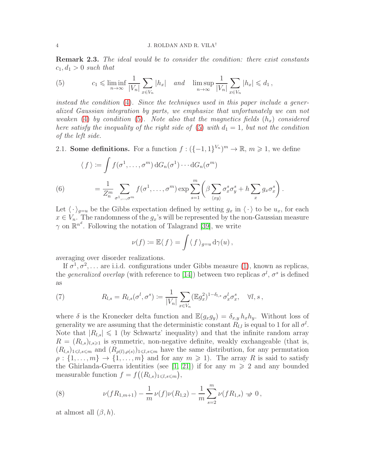Remark 2.3. The ideal would be to consider the condition: there exist constants  $c_1, d_1 > 0$  such that

<span id="page-3-0"></span>(5) 
$$
c_1 \leqslant \liminf_{n \to \infty} \frac{1}{|V_n|} \sum_{x \in V_n} |h_x| \quad and \quad \limsup_{n \to \infty} \frac{1}{|V_n|} \sum_{x \in V_n} |h_x| \leqslant d_1,
$$

instead the condition [\(4\)](#page-2-1). Since the techniques used in this paper include a generalized Gaussian integration by parts, we emphasize that unfortunately we can not weaken [\(4\)](#page-2-1) by condition [\(5\)](#page-3-0). Note also that the magnetics fields  $(h_x)$  considered here satisfy the inequality of the right side of [\(5\)](#page-3-0) with  $d_1 = 1$ , but not the condition of the left side.

2.1. Some definitions. For a function  $f: (\{-1,1\}^{V_n})^m \to \mathbb{R}, m \geq 1$ , we define

(6) 
$$
\langle f \rangle := \int f(\sigma^1, \dots, \sigma^m) dG_n(\sigma^1) \cdots dG_n(\sigma^m)
$$

$$
= \frac{1}{Z_n^m} \sum_{\sigma^1, \dots, \sigma^m} f(\sigma^1, \dots, \sigma^m) \exp \sum_{s=1}^m \left( \beta \sum_{\langle xy \rangle} \sigma_x^s \sigma_y^s + h \sum_x g_x \sigma_x^s \right).
$$

<span id="page-3-3"></span>Let  $\langle \cdot \rangle_{q=u}$  be the Gibbs expectation defined by setting  $g_x$  in  $\langle \cdot \rangle$  to be  $u_x$ , for each  $x \in V_n$ . The randomness of the  $g_x$ 's will be represented by the non-Gaussian measure  $\gamma$  on  $\mathbb{R}^{n^d}$ . Following the notation of Talagrand [\[39\]](#page-18-3), we write

$$
\nu(f) := \mathbb{E}\langle f \rangle = \int \langle f \rangle_{g=u} d\gamma(u),
$$

averaging over disorder realizations.

If  $\sigma^1, \sigma^2, \ldots$  are i.i.d. configurations under Gibbs measure [\(1\)](#page-2-3), known as replicas, the *generalized overlap* (with reference to [\[14\]](#page-17-18)) between two replicas  $\sigma^l$ ,  $\sigma^s$  is defined as

<span id="page-3-1"></span>(7) 
$$
R_{l,s} = R_{l,s}(\sigma^l, \sigma^s) := \frac{1}{|V_n|} \sum_{x \in V_n} (\mathbb{E}g_x^2)^{1-\delta_{l,s}} \sigma_x^l \sigma_x^s, \quad \forall l, s,
$$

where  $\delta$  is the Kronecker delta function and  $\mathbb{E}(g_xg_y) = \delta_{x,y}h_xh_y$ . Without loss of generality we are assuming that the deterministic constant  $R_{l,l}$  is equal to 1 for all  $\sigma^l$ . Note that  $|R_{l,s}| \leq 1$  (by Schwartz' inequality) and that the infinite random array  $R = (R_{l,s})_{l,s \geq 1}$  is symmetric, non-negative definite, weakly exchangeable (that is,  $(R_{l,s})_{1\leq l,s\leq m}$  and  $(R_{\rho(l),\rho(s)})_{1\leq l,s\leq m}$  have the same distribution, for any permutation  $\rho: \{1, \ldots, m\} \to \{1, \ldots, m\}$  and for any  $m \geq 1$ ). The array R is said to satisfy the Ghirlanda-Guerra identities (see [\[1,](#page-16-3) [21\]](#page-17-12)) if for any  $m \geq 2$  and any bounded measurable function  $f = f((R_{l,s})_{1 \leq l,s \leq m}),$ 

<span id="page-3-2"></span>(8) 
$$
\nu(fR_{1,m+1}) - \frac{1}{m}\nu(f)\nu(R_{1,2}) - \frac{1}{m}\sum_{s=2}^{m}\nu(fR_{1,s}) \to 0,
$$

at almost all  $(\beta, h)$ .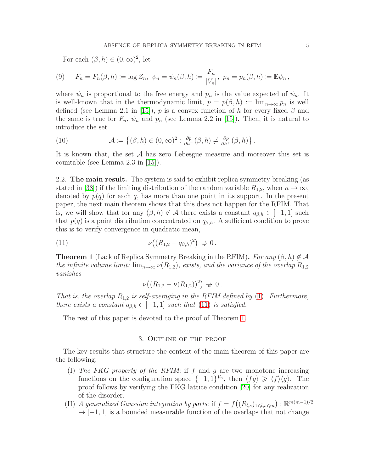For each  $(\beta, h) \in (0, \infty)^2$ , let

<span id="page-4-3"></span>(9) 
$$
F_n = F_n(\beta, h) := \log Z_n, \ \psi_n = \psi_n(\beta, h) := \frac{F_n}{|V_n|}, \ p_n = p_n(\beta, h) := \mathbb{E}\psi_n,
$$

where  $\psi_n$  is proportional to the free energy and  $p_n$  is the value expected of  $\psi_n$ . It is well-known that in the thermodynamic limit,  $p = p(\beta, h) := \lim_{n \to \infty} p_n$  is well defined (see Lemma 2.1 in [\[15\]](#page-17-9)), p is a convex function of h for every fixed  $\beta$  and the same is true for  $F_n$ ,  $\psi_n$  and  $p_n$  (see Lemma 2.2 in [\[15\]](#page-17-9)). Then, it is natural to introduce the set

<span id="page-4-4"></span>(10) 
$$
\mathcal{A} \coloneqq \left\{ (\beta, h) \in (0, \infty)^2 : \frac{\partial p}{\partial h^+}(\beta, h) \neq \frac{\partial p}{\partial h^+}(\beta, h) \right\}.
$$

It is known that, the set  $A$  has zero Lebesgue measure and moreover this set is countable (see Lemma 2.3 in [\[15\]](#page-17-9)).

2.2. The main result. The system is said to exhibit replica symmetry breaking (as stated in [\[38\]](#page-18-2)) if the limiting distribution of the random variable  $R_{1,2}$ , when  $n \to \infty$ , denoted by  $p(q)$  for each q, has more than one point in its support. In the present paper, the next main theorem shows that this does not happen for the RFIM. That is, we will show that for any  $(\beta, h) \notin \mathcal{A}$  there exists a constant  $q_{\beta,h} \in [-1, 1]$  such that  $p(q)$  is a point distribution concentrated on  $q_{\beta,h}$ . A sufficient condition to prove this is to verify convergence in quadratic mean,

<span id="page-4-2"></span>(11) 
$$
\nu((R_{1,2}-q_{\beta,h})^2) \; \to \; 0.
$$

<span id="page-4-1"></span>**Theorem 1** (Lack of Replica Symmetry Breaking in the RFIM). For any  $(\beta, h) \notin \mathcal{A}$ the infinite volume limit:  $\lim_{n\to\infty} \nu(R_{1,2})$ , exists, and the variance of the overlap  $R_{1,2}$ vanishes

$$
\nu((R_{1,2}-\nu(R_{1,2}))^2) \Rightarrow 0.
$$

That is, the overlap  $R_{1,2}$  is self-averaging in the RFIM defined by [\(1\)](#page-2-3). Furthermore, there exists a constant  $q_{\beta,h} \in [-1,1]$  such that [\(11\)](#page-4-2) is satisfied.

<span id="page-4-0"></span>The rest of this paper is devoted to the proof of Theorem [1.](#page-4-1)

# 3. Outline of the proof

The key results that structure the content of the main theorem of this paper are the following:

- (I) The FKG property of the RFIM: if f and g are two monotone increasing functions on the configuration space  $\{-1,1\}^{V_n}$ , then  $\langle fg \rangle \geq \langle f \rangle \langle g \rangle$ . The proof follows by verifying the FKG lattice condition [\[20\]](#page-17-19) for any realization of the disorder.
- (II) A generalized Gaussian integration by parts: if  $f = f((R_{l,s})_{1 \leq l,s \leq m}) : \mathbb{R}^{m(m-1)/2}$  $\rightarrow$  [−1, 1] is a bounded measurable function of the overlaps that not change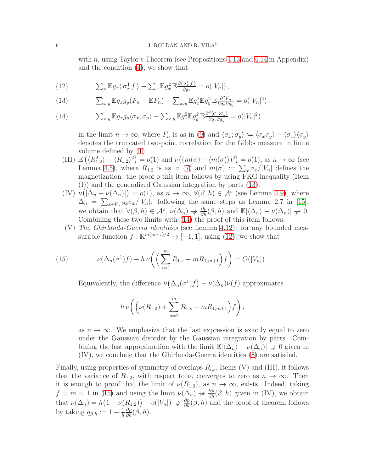with n, using Taylor's Theorem (see Propositions  $4.13$  and  $4.14$  in Appendix) and the condition [\(4\)](#page-2-1), we show that

<span id="page-5-2"></span>(12) 
$$
\sum_x \mathbb{E} g_x \langle \sigma_x^1 f \rangle - \sum_x \mathbb{E} g_x^2 \mathbb{E} \frac{\partial \langle \sigma_x^1 f \rangle}{\partial g_x} = o(|V_n|),
$$

<span id="page-5-0"></span>(13) 
$$
\sum_{x,y} \mathbb{E} g_x g_y (F_n - \mathbb{E} F_n) - \sum_{x,y} \mathbb{E} g_x^2 \mathbb{E} g_y^2 \mathbb{E} \frac{\partial^2 F_n}{\partial g_x \partial g_y} = o(|V_n|^2),
$$

<span id="page-5-1"></span>(14) 
$$
\sum_{x,y} \mathbb{E} g_x g_y \langle \sigma_x; \sigma_y \rangle - \sum_{x,y} \mathbb{E} g_x^2 \mathbb{E} g_y^2 \mathbb{E} \frac{\partial^2 \langle \sigma_x; \sigma_y \rangle}{\partial g_x \partial g_y} = o(|V_n|^2),
$$

in the limit  $n \to \infty$ , where  $F_n$  is as in [\(9\)](#page-4-3) and  $\langle \sigma_x, \sigma_y \rangle := \langle \sigma_x \sigma_y \rangle - \langle \sigma_x \rangle \langle \sigma_y \rangle$ denotes the truncated two-point correlation for the Gibbs measure in finite volume defined by [\(1\)](#page-2-3).

- (III)  $\mathbb{E}(\langle R_{1,2}^2 \rangle \langle R_{1,2} \rangle^2) = o(1)$  and  $\nu((m(\sigma) \langle m(\sigma) \rangle)^2) = o(1)$ , as  $n \to \infty$  (see Lemma [4.5\)](#page-9-0), where  $R_{1,2}$  is as in [\(7\)](#page-3-1) and  $m(\sigma) := \sum_{x \in \mathcal{F}} \sigma_x / |V_n|$  defines the magnetization: the proof o this item follows by using FKG inequality (Item (I)) and the generalized Gaussian integration by parts [\(13\)](#page-5-0).
- $(V) \nu(|\Delta_n \nu(\Delta_n)|) = o(1)$ , as  $n \to \infty$ ,  $\forall (\beta, h) \in \mathcal{A}^c$  (see Lemma [4.9\)](#page-11-0), where  $\Delta_n = \sum_{x \in V_n} g_x \sigma_x / |V_n|$ : following the same steps as Lemma 2.7 in [\[15\]](#page-17-9), we obtain that  $\forall (\beta, h) \in \mathcal{A}^c$ ,  $\nu(\Delta_n) \nrightarrow \frac{\partial p}{\partial h}(\beta, h)$  and  $\mathbb{E}|\langle \Delta_n \rangle - \nu(\Delta_n)| \nrightarrow 0$ . Combining these two limits with [\(14\)](#page-5-1) the proof of this item follows.
- (V) The Ghirlanda-Guerra identities (see Lemma [4.12\)](#page-13-0): for any bounded measurable function  $f : \mathbb{R}^{m(m-1)/2} \to [-1,1]$ , using [\(12\)](#page-5-2), we show that

<span id="page-5-3"></span>(15) 
$$
\nu(\Delta_n(\sigma^1)f) - h \nu\left(\left(\sum_{s=1}^m R_{1,s} - mR_{1,m+1}\right)f\right) = O(|V_n|).
$$

Equivalently, the difference  $\nu(\Delta_n(\sigma^1)f) - \nu(\Delta_n)\nu(f)$  approximates

$$
h \nu \bigg( \bigg( \nu(R_{1,2}) + \sum_{s=2}^{m} R_{1,s} - m R_{1,m+1} \bigg) f \bigg) ,
$$

as  $n \to \infty$ . We emphasize that the last expression is exactly equal to zero under the Gaussian disorder by the Gaussian integration by parts. Combining the last approximation with the limit  $\mathbb{E}|\langle\Delta_n\rangle - \nu(\Delta_n)| \to 0$  given in (IV), we conclude that the Ghirlanda-Guerra identities [\(8\)](#page-3-2) are satisfied.

Finally, using properties of symmetry of overlaps  $R_{l,s}$ , Items (V) and (III), it follows that the variance of  $R_{1,2}$ , with respect to  $\nu$ , converges to zero as  $n \to \infty$ . Then it is enough to proof that the limit of  $\nu(R_{1,2})$ , as  $n \to \infty$ , exists. Indeed, taking  $f = m = 1$  in [\(15\)](#page-5-3) and using the limit  $\nu(\Delta_n) \to \frac{\partial p}{\partial h}(\beta, h)$  given in (IV), we obtain that  $\nu(\Delta_n) = h(1 - \nu(R_{1,2})) + o(|V_n|) \Rightarrow \frac{\partial p}{\partial h}(\beta, h)$  and the proof of theorem follows by taking  $q_{\beta,h} \coloneqq 1 - \frac{1}{h}$ h  $\frac{\partial p}{\partial h}(\beta, h).$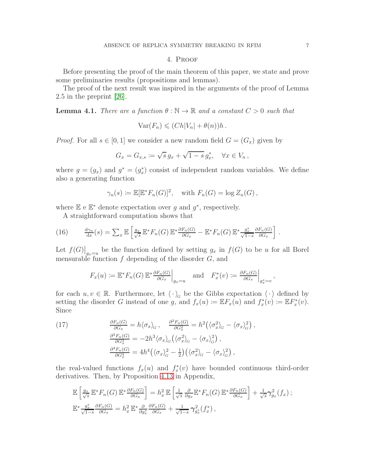# 4. Proof

<span id="page-6-0"></span>Before presenting the proof of the main theorem of this paper, we state and prove some preliminaries results (propositions and lemmas).

The proof of the next result was inspired in the arguments of the proof of Lemma 2.5 in the preprint [\[26\]](#page-17-20).

<span id="page-6-3"></span>**Lemma 4.1.** There are a function  $\theta : \mathbb{N} \to \mathbb{R}$  and a constant  $C > 0$  such that

$$
Var(F_n) \leqslant (Ch|V_n| + \theta(n))h.
$$

*Proof.* For all  $s \in [0, 1]$  we consider a new random field  $G = (G_x)$  given by

$$
G_x = G_{x,s} \coloneqq \sqrt{s} g_x + \sqrt{1-s} g_x^*, \quad \forall x \in V_n,
$$

where  $g = (g_x)$  and  $g^* = (g_x^*)$  consist of independent random variables. We define also a generating function

$$
\gamma_n(s) \coloneqq \mathbb{E}[\mathbb{E}^* F_n(G)]^2, \quad \text{with } F_n(G) = \log Z_n(G),
$$

where  $\mathbb{E}$  e  $\mathbb{E}^*$  denote expectation over g and  $g^*$ , respectively.

A straightforward computation shows that

<span id="page-6-1"></span>(16) 
$$
\frac{d\gamma_n}{ds}(s) = \sum_x \mathbb{E} \left[ \frac{g_x}{\sqrt{s}} \mathbb{E}^* F_n(G) \mathbb{E}^* \frac{\partial F_n(G)}{\partial G_x} - \mathbb{E}^* F_n(G) \mathbb{E}^* \frac{g_x^*}{\sqrt{1-s}} \frac{\partial F_n(G)}{\partial G_x} \right].
$$

Let  $f(G)|_{g_x=u}$  be the function defined by setting  $g_x$  in  $f(G)$  to be u for all Borel mensurable function  $f$  depending of the disorder  $G$ , and

$$
F_x(u) := \mathbb{E}^* F_n(G) \mathbb{E}^* \frac{\partial F_n(G)}{\partial G_x} \Big|_{g_x = u} \quad \text{and} \quad F_x^*(v) := \frac{\partial F_n(G)}{\partial G_x} \Big|_{g_x^* = v},
$$

for each  $u, v \in \mathbb{R}$ . Furthermore, let  $\langle \cdot \rangle_{G}$  be the Gibbs expectation  $\langle \cdot \rangle$  defined by setting the disorder G instead of one g, and  $f_x(u) \coloneqq \mathbb{E} F_x(u)$  and  $f_x^*(v) \coloneqq \mathbb{E} F_x^*(v)$ . Since

<span id="page-6-2"></span>(17) 
$$
\frac{\partial F_n(G)}{\partial G_x} = h \langle \sigma_x \rangle_G, \quad \frac{\partial^2 F_n(G)}{\partial G_x^2} = h^2 \left( \langle \sigma_x^2 \rangle_G - \langle \sigma_x \rangle_G^2 \right),
$$

$$
\frac{\partial^3 F_n(G)}{\partial G_x^3} = -2h^3 \langle \sigma_x \rangle_G \left( \langle \sigma_x^2 \rangle_G - \langle \sigma_x \rangle_G^2 \right),
$$

$$
\frac{\partial^4 F_n(G)}{\partial G_x^4} = 4h^4 \left( \langle \sigma_x \rangle_G^2 - \frac{1}{2} \right) \left( \langle \sigma_x^2 \rangle_G - \langle \sigma_x \rangle_G^2 \right),
$$

the real-valued functions  $f_x(u)$  and  $f_x^*(v)$  have bounded continuous third-order derivatives. Then, by Proposition [4.13](#page-14-0) in Appendix,

$$
\mathbb{E}\left[\frac{g_x}{\sqrt{s}}\mathbb{E}^*F_n(G)\mathbb{E}^*\frac{\partial F_n(G)}{\partial G_x}\right] = h_x^2 \mathbb{E}\left[\frac{1}{\sqrt{s}}\frac{\partial}{\partial g_x}\mathbb{E}^*F_n(G)\mathbb{E}^*\frac{\partial F_n(G)}{\partial G_x}\right] + \frac{1}{\sqrt{s}}\gamma_{g_x}^2(f_x);
$$
  

$$
\mathbb{E}^*\frac{g_x^*}{\sqrt{1-s}}\frac{\partial F_n(G)}{\partial G_x} = h_x^2 \mathbb{E}^*\frac{\partial}{\partial g_x^*}\frac{\partial F_n(G)}{\partial G_x} + \frac{1}{\sqrt{1-s}}\gamma_{g_x}^2(f_x^*),
$$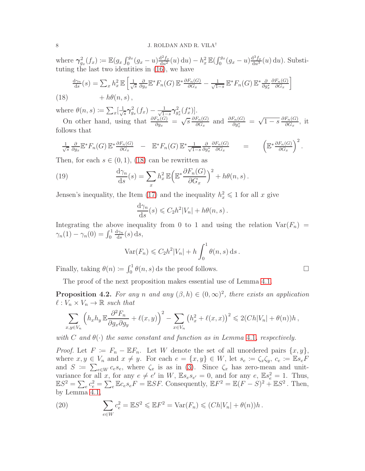where  $\gamma_{g_x}^2(f_x) \coloneqq \mathbb{E}(g_x \int_0^{g_x} (g_x - u) \frac{d^2 f_x}{du^2}(u) du) - h_x^2 \mathbb{E}(\int_0^{g_x} (g_x - u) \frac{d^3 f_x}{du^3}(u) du)$ . Substituting the last two identities in  $(16)$ , we have

$$
\frac{d\gamma_n}{ds}(s) = \sum_x h_x^2 \mathbb{E}\left[\frac{1}{\sqrt{s}} \frac{\partial}{\partial g_x} \mathbb{E}^* F_n(G) \mathbb{E}^* \frac{\partial F_n(G)}{\partial G_x} - \frac{1}{\sqrt{1-s}} \mathbb{E}^* F_n(G) \mathbb{E}^* \frac{\partial}{\partial g_x^*} \frac{\partial F_n(G)}{\partial G_x}\right]
$$

<span id="page-7-0"></span>(18)  $+h\theta(n,s)$ ,

where  $\theta(n,s) \coloneqq \sum_x \left[\frac{1}{\sqrt{s}}\right]$  $\frac{1}{s}\gamma_{g_x}^2(f_x) - \frac{1}{\sqrt{1-s}}\gamma_{g_x^*}^2(f_x^*)$ .

On other hand, using that  $\frac{\partial F_n(G)}{\partial g_x} = \sqrt{s} \frac{\partial F_n(G)}{\partial G_x}$  $\frac{F_n(G)}{\partial G_x}$  and  $\frac{\partial F_n(G)}{\partial g_x^*} = \sqrt{1-s} \frac{\partial F_n(G)}{\partial G_x}$  $\frac{r_n(G)}{\partial G_x}$ , it follows that

$$
\frac{1}{\sqrt{s}} \frac{\partial}{\partial g_x} \mathbb{E}^* F_n(G) \mathbb{E}^* \frac{\partial F_n(G)}{\partial G_x} - \mathbb{E}^* F_n(G) \mathbb{E}^* \frac{1}{\sqrt{1-s}} \frac{\partial}{\partial g_x^*} \frac{\partial F_n(G)}{\partial G_x} = \left( \mathbb{E}^* \frac{\partial F_n(G)}{\partial G_x} \right)^2.
$$

Then, for each  $s \in (0,1)$ , [\(18\)](#page-7-0) can be rewritten as

(19) 
$$
\frac{d\gamma_n}{ds}(s) = \sum_x h_x^2 \mathbb{E}\left(\mathbb{E}^*\frac{\partial F_n(G)}{\partial G_x}\right)^2 + h\theta(n,s).
$$

Jensen's inequality, the Item [\(17\)](#page-6-2) and the inequality  $h_x^2 \leq 1$  for all x give

$$
\frac{\mathrm{d}\gamma_n}{\mathrm{d}s}(s) \leqslant C_2 h^2 |V_n| + h\theta(n, s) .
$$

Integrating the above inequality from 0 to 1 and using the relation  $Var(F_n)$  =  $\gamma_n(1) - \gamma_n(0) = \int_0^1$  $\mathrm{d}\gamma_n$  $\frac{d\gamma_n}{ds}(s) ds,$ 

$$
\text{Var}(F_n) \leqslant C_2 h^2 |V_n| + h \int_0^1 \theta(n, s) \, \mathrm{d} s \, .
$$

Finally, taking  $\theta(n) \coloneqq \int_0^1 \theta(n, s) \, ds$  the proof follows.

The proof of the next proposition makes essential use of Lemma [4.1.](#page-6-3)

<span id="page-7-2"></span>**Proposition 4.2.** For any n and any  $(\beta, h) \in (0, \infty)^2$ , there exists an application  $\ell: V_n \times V_n \to \mathbb{R}$  such that

$$
\sum_{x,y\in V_n} \left( h_x h_y \mathbb{E} \frac{\partial^2 F_n}{\partial g_x \partial g_y} + \ell(x,y) \right)^2 - \sum_{x\in V_n} \left( h_x^2 + \ell(x,x) \right)^2 \leqslant 2(Ch|V_n| + \theta(n))h,
$$

with C and  $\theta(\cdot)$  the same constant and function as in Lemma [4.1](#page-6-3), respectively.

*Proof.* Let  $F := F_n - \mathbb{E} F_n$ . Let W denote the set of all unordered pairs  $\{x, y\}$ , where  $x, y \in V_n$  and  $x \neq y$ . For each  $e = \{x, y\} \in W$ , let  $s_e := \zeta_x \zeta_y$ ,  $c_e := \mathbb{E} s_e F$ and  $S := \sum_{e \in W} c_e s_e$ , where  $\zeta_x$  is as in [\(3\)](#page-2-2). Since  $\zeta_x$  has zero-mean and unitvariance for all x, for any  $e \neq e'$  in W,  $\mathbb{E} s_e s_{e'} = 0$ , and for any  $e$ ,  $\mathbb{E} s_e^2 = 1$ . Thus,  $\mathbb{E}S^2 = \sum_e c_e^2 = \sum_e \mathbb{E}c_e s_e F = \mathbb{E}SF$ . Consequently,  $\mathbb{E}F^2 = \mathbb{E}(F - S)^2 + \mathbb{E}S^2$ . Then, by Lemma [4.1,](#page-6-3)

<span id="page-7-1"></span>(20) 
$$
\sum_{e \in W} c_e^2 = \mathbb{E}S^2 \leqslant \mathbb{E}F^2 = \text{Var}(F_n) \leqslant (Ch|V_n| + \theta(n))h.
$$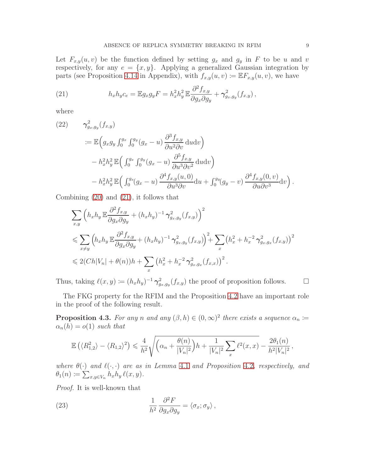Let  $F_{x,y}(u, v)$  be the function defined by setting  $g_x$  and  $g_y$  in F to be u and v respectively, for any  $e = \{x, y\}$ . Applying a generalized Gaussian integration by parts (see Proposition [4.14](#page-15-0) in Appendix), with  $f_{x,y}(u, v) \coloneqq \mathbb{E} F_{x,y}(u, v)$ , we have

<span id="page-8-0"></span>(21) 
$$
h_x h_y c_e = \mathbb{E} g_x g_y F = h_x^2 h_y^2 \mathbb{E} \frac{\partial^2 f_{x,y}}{\partial g_x \partial g_y} + \gamma_{g_x, g_y}^2 (f_{x,y}),
$$

where

<span id="page-8-3"></span>(22) 
$$
\gamma_{g_x,g_y}^2(f_{x,y})
$$
  
\n
$$
:= \mathbb{E}\Big(g_x g_y \int_0^{g_x} \int_0^{g_y} (g_x - u) \frac{\partial^3 f_{x,y}}{\partial u^2 \partial v} du dv\Big)
$$
  
\n
$$
- h_x^2 h_y^2 \mathbb{E}\Big(\int_0^{g_x} \int_0^{g_y} (g_x - u) \frac{\partial^5 f_{x,y}}{\partial u^3 \partial v^2} du dv\Big)
$$
  
\n
$$
- h_x^2 h_y^2 \mathbb{E}\Big(\int_0^{g_x} (g_x - u) \frac{\partial^4 f_{x,y}(u,0)}{\partial u^3 \partial v} du + \int_0^{g_y} (g_y - v) \frac{\partial^4 f_{x,y}(0, v)}{\partial u \partial v^3} dv\Big).
$$

Combining [\(20\)](#page-7-1) and [\(21\)](#page-8-0), it follows that

$$
\sum_{x,y} \left( h_x h_y \mathbb{E} \frac{\partial^2 f_{x,y}}{\partial g_x \partial g_y} + (h_x h_y)^{-1} \gamma_{g_x, g_y}^2(f_{x,y}) \right)^2
$$
\n
$$
\leq \sum_{x \neq y} \left( h_x h_y \mathbb{E} \frac{\partial^2 f_{x,y}}{\partial g_x \partial g_y} + (h_x h_y)^{-1} \gamma_{g_x, g_y}^2(f_{x,y}) \right)^2 + \sum_x \left( h_x^2 + h_x^{-2} \gamma_{g_x, g_x}^2(f_{x,y}) \right)^2
$$
\n
$$
\leq 2(Ch|V_n| + \theta(n))h + \sum_x \left( h_x^2 + h_x^{-2} \gamma_{g_x, g_x}^2(f_{x,x}) \right)^2.
$$

Thus, taking  $\ell(x, y) \coloneqq (h_x h_y)^{-1} \gamma_{g_x, g_y}^2(f_{x, y})$  the proof of proposition follows.  $\Box$ 

The FKG property for the RFIM and the Proposition [4.2](#page-7-2) have an important role in the proof of the following result.

<span id="page-8-2"></span>**Proposition 4.3.** For any n and any  $(\beta, h) \in (0, \infty)^2$  there exists a sequence  $\alpha_n :=$  $\alpha_n(h) = o(1)$  such that

$$
\mathbb{E}\left(\langle R_{1,2}^2\rangle - \langle R_{1,2}\rangle^2\right) \leq \frac{4}{h^2} \sqrt{\left(\alpha_n + \frac{\theta(n)}{|V_n|^2}\right)h + \frac{1}{|V_n|^2}\sum_x \ell^2(x,x) - \frac{2\theta_1(n)}{h^2|V_n|^2}},
$$

where  $\theta(\cdot)$  and  $\ell(\cdot, \cdot)$  are as in Lemma [4.1](#page-6-3) and Proposition [4.2](#page-7-2), respectively, and  $\theta_1(n) \coloneqq \sum_{x,y \in V_n} h_x h_y \, \ell(x,y).$ 

Proof. It is well-known that

<span id="page-8-1"></span>(23) 
$$
\frac{1}{h^2} \frac{\partial^2 F}{\partial g_x \partial g_y} = \langle \sigma_x; \sigma_y \rangle,
$$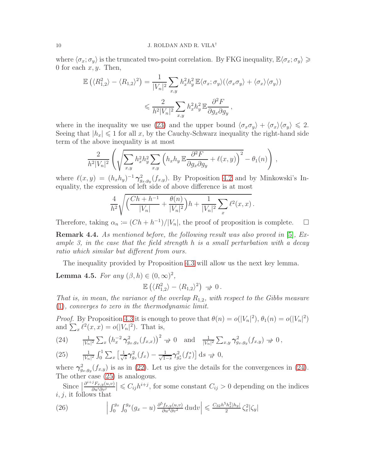where  $\langle \sigma_x; \sigma_y \rangle$  is the truncated two-point correlation. By FKG inequality,  $\mathbb{E}\langle \sigma_x; \sigma_y \rangle \geq$ 0 for each  $x, y$ . Then,

$$
\mathbb{E}\left(\langle R_{1,2}^2\rangle - \langle R_{1,2}\rangle^2\right) = \frac{1}{|V_n|^2} \sum_{x,y} h_x^2 h_y^2 \mathbb{E}\langle\sigma_x;\sigma_y\rangle(\langle\sigma_x\sigma_y\rangle + \langle\sigma_x\rangle\langle\sigma_y\rangle))
$$
  

$$
\leq \frac{2}{h^2 |V_n|^2} \sum_{x,y} h_x^2 h_y^2 \mathbb{E}\frac{\partial^2 F}{\partial g_x \partial g_y},
$$

where in the inequality we use [\(23\)](#page-8-1) and the upper bound  $\langle \sigma_x \sigma_y \rangle + \langle \sigma_x \rangle \langle \sigma_y \rangle \leq 2$ . Seeing that  $|h_x| \leq 1$  for all x, by the Cauchy-Schwarz inequality the right-hand side term of the above inequality is at most

$$
\frac{2}{h^2|V_n|^2} \left( \sqrt{\sum_{x,y} h_x^2 h_y^2 \sum_{x,y} \left( h_x h_y \mathbb{E} \frac{\partial^2 F}{\partial g_x \partial g_y} + \ell(x,y) \right)^2} - \theta_1(n) \right),
$$

where  $\ell(x,y) = (h_x h_y)^{-1} \gamma_{g_x,g_y}^2(f_{x,y})$ . By Proposition [4.2](#page-7-2) and by Minkowski's Inequality, the expression of left side of above difference is at most

$$
\frac{4}{h^2} \sqrt{\left(\frac{Ch+h^{-1}}{|V_n|} + \frac{\theta(n)}{|V_n|^2}\right)h + \frac{1}{|V_n|^2} \sum_x \ell^2(x,x)}.
$$

Therefore, taking  $\alpha_n := (Ch + h^{-1})/|V_n|$ , the proof of proposition is complete.  $\Box$ 

**Remark 4.4.** As mentioned before, the following result was also proved in [\[5\]](#page-16-4), Example 3, in the case that the field strength  $h$  is a small perturbation with a decay ratio which similar but different from ours.

The inequality provided by Proposition [4.3](#page-8-2) will allow us the next key lemma.

<span id="page-9-0"></span>**Lemma 4.5.** For any  $(\beta, h) \in (0, \infty)^2$ ,

$$
\mathbb{E}\left(\langle R_{1,2}^2\rangle - \langle R_{1,2}\rangle^2\right) \Rightarrow 0.
$$

That is, in mean, the variance of the overlap  $R_{1,2}$ , with respect to the Gibbs measure [\(1\)](#page-2-3), converges to zero in the thermodynamic limit.

*Proof.* By Proposition [4.3](#page-8-2) it is enough to prove that  $\theta(n) = o(|V_n|^2)$ ,  $\theta_1(n) = o(|V_n|^2)$ and  $\sum_{x} \ell^2(x, x) = o(|V_n|^2)$ . That is,

<span id="page-9-1"></span>(24) 
$$
\frac{1}{|V_n|^2} \sum_x \left( h_x^{-2} \gamma_{g_x,g_x}^2(f_{x,x}) \right)^2 \; \to \; 0 \quad \text{and} \quad \frac{1}{|V_n|^2} \sum_{x,y} \gamma_{g_x,g_y}^2(f_{x,y}) \; \to \; 0 \; ,
$$

<span id="page-9-2"></span>(25) 
$$
\frac{1}{|V_n|^2} \int_0^1 \sum_x \left[ \frac{1}{\sqrt{s}} \gamma_{g_x}^2 (f_x) - \frac{1}{\sqrt{1-s}} \gamma_{g_x}^2 (f_x^*) \right] ds \to 0,
$$

where  $\gamma_{g_x,g_y}^2(f_{x,y})$  is as in [\(22\)](#page-8-3). Let us give the details for the convergences in [\(24\)](#page-9-1). The other case [\(25\)](#page-9-2) is analogous.

Since  $\frac{\partial^{i+j}F_{x,y}(u,v)}{\partial u^i \partial v^j}$  $\left|\frac{\partial F_{x,y}(u,v)}{\partial u^i \partial v^j}\right| \leqslant C_{ij}h^{i+j}$ , for some constant  $C_{ij} > 0$  depending on the indices  $i, j$ , it follows that

<span id="page-9-3"></span>(26) 
$$
\left| \int_0^{g_x} \int_0^{g_y} (g_x - u) \frac{\partial^5 f_{x,y}(u,v)}{\partial u^3 \partial v^2} du dv \right| \leq \frac{C_{32} h^5 h_x^2 |h_y|}{2} \zeta_x^2 |\zeta_y|
$$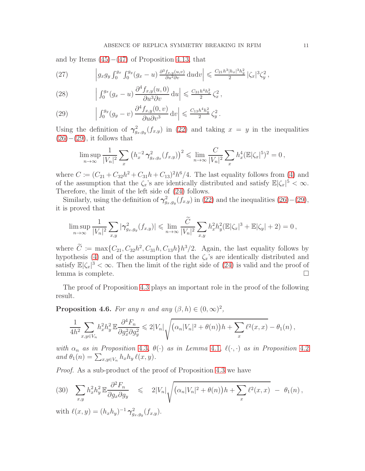and by Items  $(45)–(47)$  $(45)–(47)$  of Proposition [4.13,](#page-14-0) that

(27) 
$$
\left| g_x g_y \int_0^{g_x} \int_0^{g_y} (g_x - u) \frac{\partial^3 f_{x,y}(u,v)}{\partial u^2 \partial v} \, \mathrm{d}u \mathrm{d}v \right| \leq \frac{C_{21} h^3 |h_x|^3 h_y^2}{2} |\zeta_x|^3 \zeta_y^2,
$$

(28) 
$$
\left| \int_0^{g_x} (g_x - u) \frac{\partial^4 f_{x,y}(u,0)}{\partial u^3 \partial v} du \right| \leq \frac{C_{31} h^4 h_x^2}{2} \zeta_x^2,
$$

<span id="page-10-0"></span>(29) 
$$
\left| \int_0^{g_y} (g_y - v) \frac{\partial^4 f_{x,y}(0, v)}{\partial u \partial v^3} dv \right| \leqslant \frac{C_{13} h^4 h_y^2}{2} \zeta_y^2.
$$

Using the definition of  $\gamma_{g_x,g_y}^2(f_{x,y})$  in [\(22\)](#page-8-3) and taking  $x = y$  in the inequalities  $(26)–(29)$  $(26)–(29)$  $(26)–(29)$ , it follows that

$$
\limsup_{n \to \infty} \frac{1}{|V_n|^2} \sum_x \left( h_x^{-2} \gamma_{g_x, g_x}^2(f_{x,y}) \right)^2 \leq \lim_{n \to \infty} \frac{C}{|V_n|^2} \sum_x h_x^4 (\mathbb{E} |\zeta_x|^5)^2 = 0,
$$

where  $C := (C_{21} + C_{32}h^2 + C_{31}h + C_{13})^2h^6/4$ . The last equality follows from [\(4\)](#page-2-1) and of the assumption that the  $\zeta_x$ 's are identically distributed and satisfy  $\mathbb{E}|\zeta_x|^5 < \infty$ . Therefore, the limit of the left side of [\(24\)](#page-9-1) follows.

Similarly, using the definition of  $\gamma_{g_x,g_y}^2(f_{x,y})$  in [\(22\)](#page-8-3) and the inequalities [\(26\)](#page-9-3)–[\(29\)](#page-10-0), it is proved that

$$
\limsup_{n \to \infty} \frac{1}{|V_n|^2} \sum_{x,y} |\gamma^2_{g_x,g_y}(f_{x,y})| \leq \lim_{n \to \infty} \frac{\tilde{C}}{|V_n|^2} \sum_{x,y} h_x^2 h_y^2 (\mathbb{E}|\zeta_x|^3 + \mathbb{E}|\zeta_y| + 2) = 0,
$$

where  $C := \max\{C_{21}, C_{32}h^2, C_{31}h, C_{13}h\}h^3/2$ . Again, the last equality follows by hypothesis [\(4\)](#page-2-1) and of the assumption that the  $\zeta_x$ 's are identically distributed and satisfy  $\mathbb{E}|\zeta_x|^3 < \infty$ . Then the limit of the right side of [\(24\)](#page-9-1) is valid and the proof of lemma is complete.

The proof of Proposition [4.3](#page-8-2) plays an important role in the proof of the following result.

<span id="page-10-2"></span>**Proposition 4.6.** For any n and any  $(\beta, h) \in (0, \infty)^2$ ,

$$
\frac{1}{4h^2} \sum_{x,y \in V_n} h_x^2 h_y^2 \mathbb{E} \frac{\partial^4 F_n}{\partial g_x^2 \partial g_y^2} \leq 2|V_n| \sqrt{(\alpha_n |V_n|^2 + \theta(n))h + \sum_x \ell^2(x,x)} - \theta_1(n) ,
$$

with  $\alpha_n$  as in Proposition [4.3](#page-8-2),  $\theta(\cdot)$  as in Lemma [4.1](#page-6-3),  $\ell(\cdot, \cdot)$  as in Proposition [4.2](#page-7-2) and  $\theta_1(n) = \sum_{x,y \in V_n} h_x h_y \ell(x,y)$ .

Proof. As a sub-product of the proof of Proposition [4.3](#page-8-2) we have

<span id="page-10-1"></span>
$$
(30) \quad \sum_{x,y} h_x^2 h_y^2 \mathbb{E} \frac{\partial^2 F_n}{\partial g_x \partial g_y} \quad \leqslant \quad 2|V_n| \sqrt{(\alpha_n |V_n|^2 + \theta(n)) h + \sum_x \ell^2(x,x)} \ - \ \theta_1(n) \,,
$$

with  $\ell(x, y) = (h_x h_y)^{-1} \gamma_{g_x, g_y}^2(f_{x, y}).$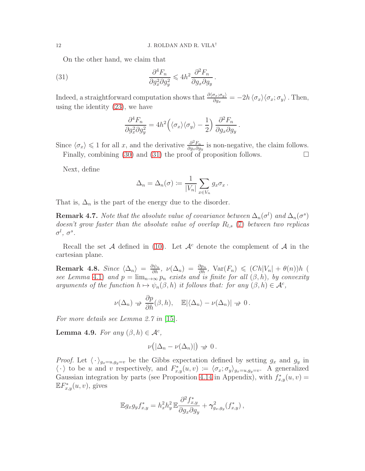On the other hand, we claim that

<span id="page-11-1"></span>(31) 
$$
\frac{\partial^4 F_n}{\partial g_x^2 \partial g_y^2} \leq 4h^2 \frac{\partial^2 F_n}{\partial g_x \partial g_y}.
$$

Indeed, a straightforward computation shows that  $\frac{\partial \langle \sigma_x; \sigma_y \rangle}{\partial g_x} = -2h \langle \sigma_x \rangle \langle \sigma_x; \sigma_y \rangle$ . Then, using the identity [\(23\)](#page-8-1), we have

$$
\frac{\partial^4 F_n}{\partial g_x^2 \partial g_y^2} = 4h^2 \left( \langle \sigma_x \rangle \langle \sigma_y \rangle - \frac{1}{2} \right) \frac{\partial^2 F_n}{\partial g_x \partial g_y}.
$$

Since  $\langle \sigma_x \rangle \leq 1$  for all x, and the derivative  $\frac{\partial^2 F_n}{\partial g_x \partial g}$  $\frac{\partial^2 F_n}{\partial g_x \partial g_y}$  is non-negative, the claim follows. Finally, combining [\(30\)](#page-10-1) and [\(31\)](#page-11-1) the proof of proposition follows.  $\Box$ 

Next, define

$$
\Delta_n = \Delta_n(\sigma) \coloneqq \frac{1}{|V_n|} \sum_{x \in V_n} g_x \sigma_x.
$$

That is,  $\Delta_n$  is the part of the energy due to the disorder.

**Remark 4.7.** Note that the absolute value of covariance between  $\Delta_n(\sigma^l)$  and  $\Delta_n(\sigma^s)$ doesn't grow faster than the absolute value of overlap  $R_{l,s}$  [\(7\)](#page-3-1) between two replicas  $\sigma^l,\ \sigma^s.$ 

Recall the set A defined in [\(10\)](#page-4-4). Let  $\mathcal{A}^c$  denote the complement of A in the cartesian plane.

<span id="page-11-2"></span>**Remark 4.8.** Since  $\langle \Delta_n \rangle = \frac{\partial \psi_n}{\partial h}$ ,  $\nu(\Delta_n) = \frac{\partial p_n}{\partial h}$ ,  $\text{Var}(F_n) \leq (Ch|V_n| + \theta(n))h$  ( see Lemma [4.1\)](#page-6-3) and  $p = \lim_{n \to \infty} p_n$  exists and is finite for all  $(\beta, h)$ , by convexity arguments of the function  $h \mapsto \psi_n(\beta, h)$  it follows that: for any  $(\beta, h) \in \mathcal{A}^c$ ,

$$
\nu(\Delta_n) \twoheadrightarrow \frac{\partial p}{\partial h}(\beta, h), \quad \mathbb{E}|\langle \Delta_n \rangle - \nu(\Delta_n)| \twoheadrightarrow 0.
$$

For more details see Lemma 2.7 in [\[15\]](#page-17-9).

<span id="page-11-0"></span>**Lemma 4.9.** For any  $(\beta, h) \in \mathcal{A}^c$ ,

$$
\nu(|\Delta_n-\nu(\Delta_n)|)\to 0.
$$

*Proof.* Let  $\langle \cdot \rangle_{g_x=u,g_y=v}$  be the Gibbs expectation defined by setting  $g_x$  and  $g_y$  in  $\langle \cdot \rangle$  to be u and v respectively, and  $F_{x,y}(u, v) := \langle \sigma_x, \sigma_y \rangle_{g_x=u, g_y=v}$ . A generalized Gaussian integration by parts (see Proposition [4.14](#page-15-0) in Appendix), with  $f_{x,y}^*(u, v) =$  $\mathbb{E} F_{x,y}^*(u,v)$ , gives

$$
\mathbb{E} g_x g_y f_{x,y}^* = h_x^2 h_y^2 \mathbb{E} \frac{\partial^2 f_{x,y}^*}{\partial g_x \partial g_y} + \gamma_{g_x, g_y}^2(f_{x,y}^*) ,
$$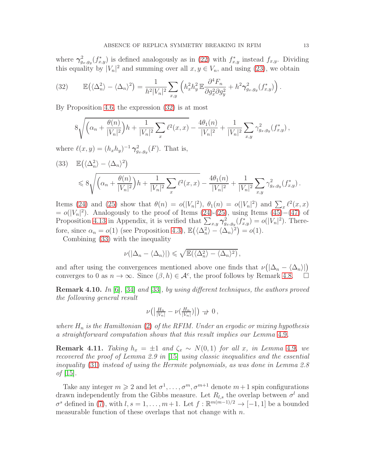where  $\gamma_{g_x,g_y}^2(f_{x,y}^*)$  is defined analogously as in [\(22\)](#page-8-3) with  $f_{x,y}^*$  instead  $f_{x,y}$ . Dividing this equality by  $|V_n|^2$  and summing over all  $x, y \in V_n$ , and using [\(23\)](#page-8-1), we obtain

<span id="page-12-0"></span>(32) 
$$
\mathbb{E}(\langle \Delta_n^2 \rangle - \langle \Delta_n \rangle^2) = \frac{1}{h^2 |V_n|^2} \sum_{x,y} \left( h_x^2 h_y^2 \mathbb{E} \frac{\partial^4 F_n}{\partial g_x^2 \partial g_y^2} + h^2 \gamma_{g_x, g_y}^2(f_{x,y}^*) \right).
$$

By Proposition [4.6,](#page-10-2) the expression [\(32\)](#page-12-0) is at most

$$
8\sqrt{\left(\alpha_n + \frac{\theta(n)}{|V_n|^2}\right)h + \frac{1}{|V_n|^2}\sum_x \ell^2(x,x)} - \frac{4\theta_1(n)}{|V_n|^2} + \frac{1}{|V_n|^2}\sum_{x,y} \gamma_{g_x,g_y}^2(f_{x,y}^*),
$$

where  $\ell(x, y) = (h_x h_y)^{-1} \gamma_{g_x, g_y}^2(F)$ . That is,

<span id="page-12-1"></span>
$$
(33) \mathbb{E}(\langle \Delta_n^2 \rangle - \langle \Delta_n \rangle^2)
$$
  
\$\leqslant 8 \sqrt{\left(\alpha\_n + \frac{\theta(n)}{|V\_n|^2}\right)h + \frac{1}{|V\_n|^2} \sum\_x \ell^2(x, x) - \frac{4\theta\_1(n)}{|V\_n|^2} + \frac{1}{|V\_n|^2} \sum\_{x,y} \gamma\_{g\_x, g\_y}^2(f\_{x,y}^\*)\$}.

Items [\(24\)](#page-9-1) and [\(25\)](#page-9-2) show that  $\theta(n) = o(|V_n|^2)$ ,  $\theta_1(n) = o(|V_n|^2)$  and  $\sum_{n} \ell^2(x, x)$  $= o(|V_n|^2)$ . Analogously to the proof of Items  $(24)-(25)$  $(24)-(25)$ , using Items  $(45)-(47)$  $(45)-(47)$  of Proposition [4.13](#page-14-0) in Appendix, it is verified that  $\sum_{x,y} \gamma_{g_x,g_y}^2(f_{x,y}^*) = o(|V_n|^2)$ . Therefore, since  $\alpha_n = o(1)$  (see Proposition [4.3\)](#page-8-2),  $\mathbb{E}(\langle \Delta_n^2 \rangle - \langle \Delta_n \rangle^2) = o(1)$ .

Combining [\(33\)](#page-12-1) with the inequality

$$
\nu(|\Delta_n-\langle\Delta_n\rangle|)\leqslant\sqrt{\mathbb{E}(\langle\Delta_n^2\rangle-\langle\Delta_n\rangle^2)},
$$

and after using the convergences mentioned above one finds that  $\nu(|\Delta_n - \langle \Delta_n \rangle|)$ converges to 0 as  $n \to \infty$ . Since  $(\beta, h) \in \mathcal{A}^c$ , the proof follows by Remark [4.8.](#page-11-2)  $\Box$ 

**Remark 4.10.** In [\[6\]](#page-17-21), [\[34\]](#page-18-9) and [\[33\]](#page-18-10), by using different techniques, the authors proved the following general result

$$
\nu\big(\big|\tfrac{H_n}{|V_n|}-\nu\big(\tfrac{H_n}{|V_n|}\big)\big|\big)\,\to\,0\,,
$$

where  $H_n$  is the Hamiltonian [\(2\)](#page-2-4) of the RFIM. Under an ergodic or mixing hypothesis a straightforward computation shows that this result implies our Lemma [4.9](#page-11-0).

**Remark 4.11.** Taking  $h_x = \pm 1$  and  $\zeta_x \sim N(0, 1)$  for all x, in Lemma [4.9](#page-11-0), we recovered the proof of Lemma 2.9 in [\[15\]](#page-17-9) using classic inequalities and the essential inequality [\(31\)](#page-11-1) instead of using the Hermite polynomials, as was done in Lemma 2.8 *of*  $|15|$ .

Take any integer  $m \geq 2$  and let  $\sigma^1, \ldots, \sigma^m, \sigma^{m+1}$  denote  $m+1$  spin configurations drawn independently from the Gibbs measure. Let  $R_{l,s}$  the overlap between  $\sigma^l$  and  $\sigma^s$  defined in [\(7\)](#page-3-1), with  $l, s = 1, \ldots, m+1$ . Let  $f : \mathbb{R}^{m(m-1)/2} \to [-1, 1]$  be a bounded measurable function of these overlaps that not change with  $n$ .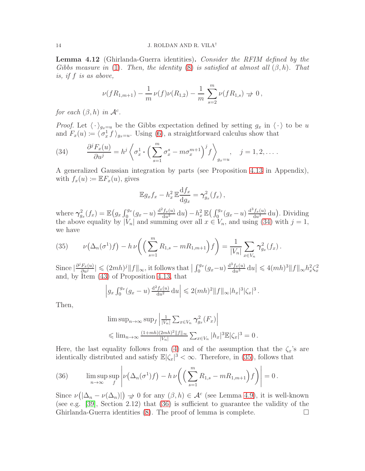<span id="page-13-0"></span>Lemma 4.12 (Ghirlanda-Guerra identities). Consider the RFIM defined by the Gibbs measure in [\(1\)](#page-2-3). Then, the identity [\(8\)](#page-3-2) is satisfied at almost all  $(\beta, h)$ . That is, if f is as above,

$$
\nu(fR_{1,m+1}) - \frac{1}{m}\nu(f)\nu(R_{1,2}) - \frac{1}{m}\sum_{s=2}^{m}\nu(fR_{1,s}) \to 0,
$$

for each  $(\beta, h)$  in  $\mathcal{A}^c$ .

*Proof.* Let  $\langle \cdot \rangle_{g_x=u}$  be the Gibbs expectation defined by setting  $g_x$  in  $\langle \cdot \rangle$  to be u and  $F_x(u) \coloneqq \langle \sigma_x^1 f \rangle_{g_x=u}$ . Using [\(6\)](#page-3-3), a straightforward calculus show that

<span id="page-13-1"></span>(34) 
$$
\frac{\partial^j F_x(u)}{\partial u^j} = h^j \left\langle \sigma_x^1 \cdot \left( \sum_{s=1}^m \sigma_x^s - m \sigma_x^{m+1} \right)^j f \right\rangle_{g_x = u}, \quad j = 1, 2, \dots
$$

A generalized Gaussian integration by parts (see Proposition [4.13](#page-14-0) in Appendix), with  $f_x(u) \coloneqq \mathbb{E} F_x(u)$ , gives

$$
\mathbb{E}g_x f_x - h_x^2 \mathbb{E} \frac{\mathrm{d}f_x}{\mathrm{d}g_x} = \gamma_{g_x}^2(f_x) ,
$$

where  $\gamma_{g_x}^2(f_x) = \mathbb{E}\left(g_x \int_0^{g_x} (g_x - u) \frac{d^2 f_x(u)}{du^2} du\right) - h_x^2 \mathbb{E}\left(\int_0^{g_x} (g_x - u) \frac{d^3 f_x(u)}{du^3} du\right)$ . Dividing the above equality by  $|V_n|$  and summing over all  $x \in V_n$ , and using [\(34\)](#page-13-1) with  $j = 1$ , we have

<span id="page-13-2"></span>(35) 
$$
\nu\big(\Delta_n(\sigma^1)f\big) - h\,\nu\bigg(\Big(\sum_{s=1}^m R_{1,s} - mR_{1,m+1}\Big)f\bigg) = \frac{1}{|V_n|}\sum_{x\in V_n} \gamma_{g_x}^2(f_x)\,.
$$

Since  $\left|\frac{\partial^j F_x(u)}{\partial u^j}\right|$  $\frac{F_x(u)}{\partial u^j}$   $\leq$   $(2mh)^j$   $||f||_{\infty}$ , it follows that  $\left| \int_0^{g_x} (g_x-u) \frac{d^3 f_x(u)}{du^3} du \right| \leq 4(mh)^3 ||f||_{\infty} h_x^2 \zeta_x^2$ and, by Item [\(43\)](#page-14-1) of Proposition [4.13,](#page-14-0) that

$$
\left| g_x \int_0^{g_x} (g_x - u) \frac{d^2 f_x(u)}{du^2} du \right| \leq 2(mh)^2 ||f||_{\infty} |h_x|^3 |\zeta_x|^3.
$$

Then,

$$
\limsup_{n\to\infty} \sup_{f} \left| \frac{1}{|V_n|} \sum_{x \in V_n} \gamma_{g_x}^2(F_x) \right|
$$
  
\$\leqslant \lim\_{n\to\infty} \frac{(1+mh)(2mh)^2 ||f||\_{\infty}}{|V\_n|} \sum\_{x \in V\_n} |h\_x|^3 \mathbb{E} |\zeta\_x|^3 = 0.

Here, the last equality follows from [\(4\)](#page-2-1) and of the assumption that the  $\zeta_x$ 's are identically distributed and satisfy  $\mathbb{E}|\zeta_x|^3 < \infty$ . Therefore, in [\(35\)](#page-13-2), follows that

<span id="page-13-3"></span>(36) 
$$
\limsup_{n\to\infty}\sup_{f}\left|\nu\left(\Delta_n(\sigma^1)f\right)-h\,\nu\bigg(\left(\sum_{s=1}^m R_{1,s}-mR_{1,m+1}\right)f\bigg)\right|=0.
$$

Since  $\nu(|\Delta_n - \nu(\Delta_n)|) \to 0$  for any  $(\beta, h) \in \mathcal{A}^c$  (see Lemma [4.9\)](#page-11-0), it is well-known (see e.g. [\[39\]](#page-18-3), Section 2.12) that [\(36\)](#page-13-3) is sufficient to guarantee the validity of the Ghirlanda-Guerra identities  $(8)$ . The proof of lemma is complete.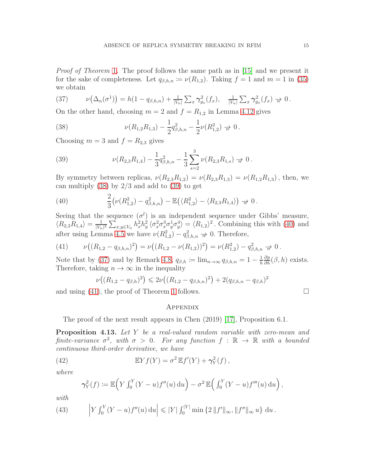Proof of Theorem [1](#page-4-1). The proof follows the same path as in [\[15\]](#page-17-9) and we present it for the sake of completeness. Let  $q_{\beta,h,n} \coloneqq \nu(R_{1,2})$ . Taking  $f = 1$  and  $m = 1$  in [\(35\)](#page-13-2) we obtain

<span id="page-14-5"></span>(37) 
$$
\nu(\Delta_n(\sigma^1)) = h(1 - q_{\beta,h,n}) + \frac{1}{|V_n|} \sum_x \gamma_{g_x}^2(f_x), \quad \frac{1}{|V_n|} \sum_x \gamma_{g_x}^2(f_x) \to 0.
$$

On the other hand, choosing  $m = 2$  and  $f = R_{1,2}$  in Lemma [4.12](#page-13-0) gives

<span id="page-14-2"></span>(38) 
$$
\nu(R_{1,2}R_{1,3}) - \frac{1}{2}q_{\beta,h,n}^2 - \frac{1}{2}\nu(R_{1,2}^2) \Rightarrow 0.
$$

Choosing  $m = 3$  and  $f = R_{2,3}$  gives

<span id="page-14-3"></span>(39) 
$$
\nu(R_{2,3}R_{1,4}) - \frac{1}{3}q_{\beta,h,n}^2 - \frac{1}{3}\sum_{s=2}^3 \nu(R_{2,3}R_{1,s}) \to 0.
$$

By symmetry between replicas,  $\nu(R_{2,3}R_{1,2}) = \nu(R_{2,3}R_{1,3}) = \nu(R_{1,2}R_{1,3})$ , then, we can multiply  $(38)$  by  $2/3$  and add to  $(39)$  to get

<span id="page-14-4"></span>(40) 
$$
\frac{2}{3} \left( \nu(R_{1,2}^2) - q_{\beta,h,n}^2 \right) - \mathbb{E} \left( \langle R_{1,2}^2 \rangle - \langle R_{2,3} R_{1,4} \rangle \right) \Rightarrow 0.
$$

Seeing that the sequence  $(\sigma^l)$  is an independent sequence under Gibbs' measure,  $\langle R_{2,3}R_{1,4}\rangle = \frac{1}{|V_n|}$  $\frac{1}{|V_n|^2}\sum_{x,y\in V_n}h_x^2h_y^2\langle\sigma_x^2\sigma_y^3\sigma_y^1\sigma_y^4\rangle = \langle R_{1,2}\rangle^2$ . Combining this with [\(40\)](#page-14-4) and after using Lemma [4.5](#page-9-0) we have  $\nu(R_{1,2}^2) - q_{\beta,h,n}^2 \to 0$ . Therefore,

<span id="page-14-6"></span>(41) 
$$
\nu\big((R_{1,2}-q_{\beta,h,n})^2\big)=\nu\big((R_{1,2}-\nu(R_{1,2}))^2\big)=\nu(R_{1,2}^2)-q_{\beta,h,n}^2\to 0.
$$

Note that by [\(37\)](#page-14-5) and by Remark [4.8,](#page-11-2)  $q_{\beta,h} := \lim_{n \to \infty} q_{\beta,h,n} = 1 - \frac{1}{h}$ h  $\frac{\partial p}{\partial h}(\beta, h)$  exists. Therefore, taking  $n \to \infty$  in the inequality

$$
\nu((R_{1,2}-q_{\beta,h})^2) \leq 2\nu((R_{1,2}-q_{\beta,h,n})^2) + 2(q_{\beta,h,n}-q_{\beta,h})^2
$$

and using  $(41)$ , the proof of Theorem [1](#page-4-1) follows.

## **APPENDIX**

The proof of the next result appears in Chen (2019) [\[17\]](#page-17-22), Proposition 6.1.

<span id="page-14-0"></span>Proposition 4.13. Let Y be a real-valued random variable with zero-mean and finite-variance  $\sigma^2$ , with  $\sigma > 0$ . For any function  $f : \mathbb{R} \to \mathbb{R}$  with a bounded continuous third-order derivative, we have

(42) 
$$
\mathbb{E}Yf(Y) = \sigma^2 \mathbb{E}f'(Y) + \gamma_Y^2(f),
$$

where

$$
\gamma_Y^2(f) := \mathbb{E}\left(Y \int_0^Y (Y - u) f''(u) \, \mathrm{d}u\right) - \sigma^2 \, \mathbb{E}\left(\int_0^Y (Y - u) f'''(u) \, \mathrm{d}u\right),
$$

with

<span id="page-14-1"></span>(43) 
$$
\left| Y \int_0^Y (Y - u) f''(u) \, \mathrm{d}u \right| \leqslant |Y| \int_0^{|Y|} \min \left\{ 2 \, \|f'\|_{\infty}, \|f''\|_{\infty} \, u \right\} \, \mathrm{d}u \, .
$$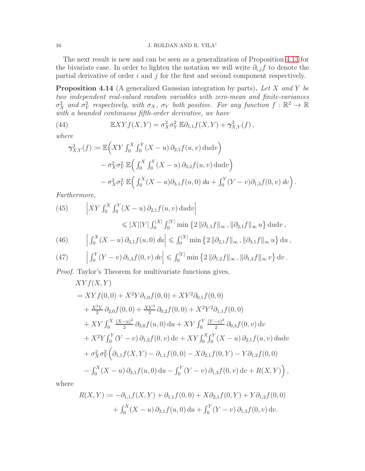The next result is new and can be seen as a generalization of Proposition [4.13](#page-14-0) for the bivariate case. In order to lighten the notation we will write  $\partial_{i,j}f$  to denote the partial derivative of order  $i$  and  $j$  for the first and second component respectively.

<span id="page-15-0"></span>**Proposition 4.14** (A generalized Gaussian integration by parts). Let X and Y be two independent real-valued random variables with zero-mean and finite-variances  $\sigma_X^2$  and  $\sigma_Y^2$  respectively, with  $\sigma_X$ ,  $\sigma_Y$  both positive. For any function  $f : \mathbb{R}^2 \to \mathbb{R}$ with a bounded continuous fifth-order derivative, we have

<span id="page-15-3"></span>(44) 
$$
\mathbb{E} XYf(X,Y) = \sigma_X^2 \sigma_Y^2 \mathbb{E} \partial_{1,1} f(X,Y) + \gamma_{X,Y}^2(f),
$$

where

$$
\gamma_{X,Y}^2(f) := \mathbb{E}\Big(XY \int_0^X \int_0^Y (X - u) \, \partial_{2,1} f(u, v) \, \mathrm{d}u \mathrm{d}v \Big) \n- \sigma_X^2 \sigma_Y^2 \mathbb{E}\Big(\int_0^X \int_0^Y (X - u) \, \partial_{3,2} f(u, v) \, \mathrm{d}u \mathrm{d}v \Big) \n- \sigma_X^2 \sigma_Y^2 \mathbb{E}\Big(\int_0^X (X - u) \partial_{3,1} f(u, 0) \, \mathrm{d}u + \int_0^Y (Y - v) \partial_{1,3} f(0, v) \, \mathrm{d}v \Big).
$$

Furthermore,

<span id="page-15-1"></span>(45) 
$$
\left| XY \int_0^X \int_0^Y (X - u) \, \partial_{2,1} f(u, v) \, \mathrm{d}u \mathrm{d}v \right| \leq |X||Y| \int_0^{|X|} \int_0^{|Y|} \min \left\{ 2 \, ||\partial_{1,1} f||_{\infty}, ||\partial_{2,1} f||_{\infty} u \right\} \mathrm{d}u \mathrm{d}v,
$$

<span id="page-15-4"></span>(46) 
$$
\left| \int_0^X (X - u) \, \partial_{3,1} f(u, 0) \, du \right| \leq \int_0^{|X|} \min \left\{ 2 \, || \partial_{2,1} f ||_{\infty} \, , || \partial_{3,1} f ||_{\infty} \, u \right\} \, du \, ,
$$

<span id="page-15-2"></span>(47) 
$$
\left| \int_0^Y (Y - v) \, \partial_{1,3} f(0, v) \, dv \right| \leq \int_0^{|Y|} \min \left\{ 2 \, ||\partial_{1,2} f||_{\infty} , ||\partial_{1,3} f||_{\infty} v \right\} dv.
$$

Proof. Taylor's Theorem for multivariate functions gives,

$$
XYf(X, Y)
$$
  
=  $XYf(0, 0) + X^2Y\partial_{1,0}f(0, 0) + XY^2\partial_{0,1}f(0, 0)$   
+  $\frac{X^3Y}{2}\partial_{2,0}f(0, 0) + \frac{XY^3}{2}\partial_{0,2}f(0, 0) + X^2Y^2\partial_{1,1}f(0, 0)$   
+  $XY \int_0^X \frac{(X-u)^2}{2} \partial_{3,0}f(u, 0) du + XY \int_0^Y \frac{(Y-v)^2}{2} \partial_{0,3}f(0, v) dv$   
+  $X^2Y \int_0^Y (Y-v) \partial_{1,2}f(0, v) dv + XY \int_0^X \int_0^Y (X-u) \partial_{2,1}f(u, v) du dv$   
+  $\sigma_X^2 \sigma_Y^2 \left( \partial_{1,1}f(X, Y) - \partial_{1,1}f(0, 0) - X \partial_{2,1}f(0, Y) - Y \partial_{1,2}f(0, 0) - \int_0^X (X-u) \partial_{3,1}f(u, 0) du - \int_0^Y (Y-v) \partial_{1,3}f(0, v) dv + R(X, Y) \right),$ 

where

$$
R(X,Y) := -\partial_{1,1}f(X,Y) + \partial_{1,1}f(0,0) + X\partial_{2,1}f(0,Y) + Y\partial_{1,2}f(0,0)
$$
  
+ 
$$
\int_0^X (X-u)\,\partial_{3,1}f(u,0)\,\mathrm{d}u + \int_0^Y (Y-v)\,\partial_{1,3}f(0,v)\,\mathrm{d}v.
$$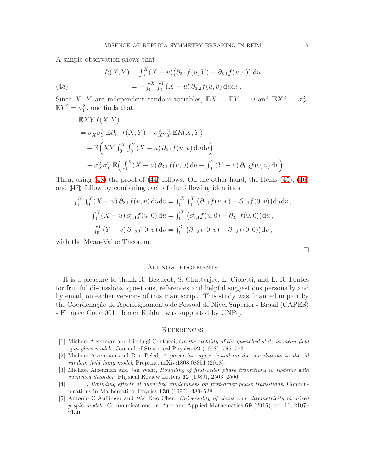A simple observation shows that

<span id="page-16-5"></span>(48) 
$$
R(X,Y) = \int_0^X (X - u) (\partial_{3,1} f(u, Y) - \partial_{3,1} f(u, 0)) du
$$

$$
= - \int_0^X \int_0^Y (X - u) \partial_{3,2} f(u, v) du dv.
$$

Since X, Y are independent random variables,  $\mathbb{E}X = \mathbb{E}Y = 0$  and  $\mathbb{E}X^2 = \sigma_X^2$ ,  $\mathbb{E}Y^2 = \sigma_Y^2$ , one finds that

$$
\mathbb{E}XYf(X,Y)
$$
  
=  $\sigma_X^2 \sigma_Y^2 \mathbb{E} \partial_{1,1} f(X,Y) + \sigma_X^2 \sigma_Y^2 \mathbb{E} R(X,Y)$   
+  $\mathbb{E}\Big(XY \int_0^X \int_0^Y (X-u) \partial_{2,1} f(u,v) du dv\Big)$   
-  $\sigma_X^2 \sigma_Y^2 \mathbb{E}\Big(\int_0^X (X-u) \partial_{3,1} f(u,0) du + \int_0^Y (Y-v) \partial_{1,3} f(0,v) dv\Big).$ 

Then, using [\(48\)](#page-16-5) the proof of [\(44\)](#page-15-3) follows. On the other hand, the Items [\(45\)](#page-15-1), [\(46\)](#page-15-4) and [\(47\)](#page-15-2) follow by combining each of the following identities

$$
\int_0^X \int_0^Y (X - u) \, \partial_{2,1} f(u, v) \, \mathrm{d}u \mathrm{d}v = \int_0^X \int_0^Y \left( \partial_{1,1} f(u, v) - \partial_{1,1} f(0, v) \right) \mathrm{d}u \mathrm{d}v,
$$
\n
$$
\int_0^X (X - u) \, \partial_{3,1} f(u, 0) \, \mathrm{d}u = \int_0^X \left( \partial_{2,1} f(u, 0) - \partial_{2,1} f(0, 0) \right) \mathrm{d}u,
$$
\n
$$
\int_0^Y (Y - v) \, \partial_{1,3} f(0, v) \, \mathrm{d}v = \int_0^Y \left( \partial_{1,2} f(0, v) - \partial_{1,2} f(0, 0) \right) \mathrm{d}v,
$$

with the Mean-Value Theorem.

### **ACKNOWLEDGEMENTS**

It is a pleasure to thank R. Bissacot, S. Chatterjee, L. Cioletti, and L. R. Fontes for fruitful discussions, questions, references and helpful suggestions personally and by email, on earlier versions of this manuscript. This study was financed in part by the Coordenação de Aperfeiçoamento de Pessoal de Nível Superior - Brasil (CAPES) - Finance Code 001. Jamer Roldan was supported by CNPq.

### **REFERENCES**

- <span id="page-16-3"></span>[1] Michael Aizenman and Pierluigi Contucci, On the stability of the quenched state in mean-field spin-glass models, Journal of Statistical Physics 92 (1998), 765–783.
- <span id="page-16-2"></span>[2] Michael Aizenman and Ron Peled, A power-law upper bound on the correlations in the 2d random field Ising model, Preprint, arXiv:1808.08351 (2018).
- <span id="page-16-0"></span>[3] Michael Aizenman and Jan Wehr, Rounding of first-order phase transitions in systems with quenched disorder, Physical Review Letters 62 (1989), 2503–2506.
- <span id="page-16-1"></span>[4]  $\Box$ , Rounding effects of quenched randomness on first-order phase transitions, Communications in Mathematical Physics 130 (1990), 489–528.
- <span id="page-16-4"></span>[5] Antonio C Auffinger and Wei Kuo Chen, Universality of chaos and ultrametricity in mixed p-spin models, Communications on Pure and Applied Mathematics 69 (2016), no. 11, 2107– 2130.

 $\Box$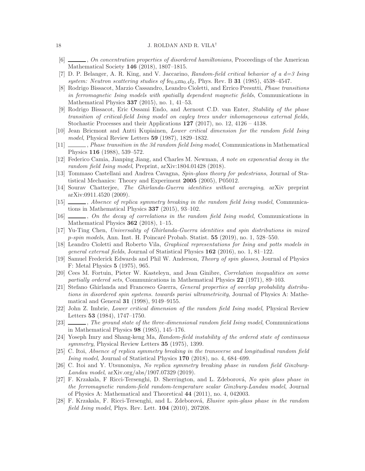- <span id="page-17-21"></span><span id="page-17-1"></span>[6]  $\Box$ , On concentration properties of disordered hamiltonians, Proceedings of the American Mathematical Society 146 (2018), 1807–1815.
- <span id="page-17-15"></span>[7] D. P. Belanger, A. R. King, and V. Jaccarino, *Random-field critical behavior of a*  $d=3$  *Ising* system: Neutron scattering studies of  $fe_{0.6}zn_{0.4}f_2$ , Phys. Rev. B 31 (1985), 4538-4547.
- [8] Rodrigo Bissacot, Marzio Cassandro, Leandro Cioletti, and Errico Presutti, Phase transitions in ferromagnetic Ising models with spatially dependent magnetic fields, Communications in Mathematical Physics 337 (2015), no. 1, 41–53.
- <span id="page-17-16"></span>[9] Rodrigo Bissacot, Eric Ossami Endo, and Aernout C.D. van Enter, Stability of the phase transition of critical-field Ising model on cayley trees under inhomogeneous external fields, Stochastic Processes and their Applications  $127$  (2017), no. 12, 4126 – 4138.
- <span id="page-17-4"></span>[10] Jean Bricmont and Antti Kupiainen, Lower critical dimension for the random field Ising model, Physical Review Letters 59 (1987), 1829–1832.
- <span id="page-17-5"></span>[11]  $\_\_\_\_\_$ , Phase transition in the 3d random field Ising model, Communications in Mathematical Physics 116 (1988), 539–572.
- <span id="page-17-6"></span>[12] Federico Camia, Jianping Jiang, and Charles M. Newman, A note on exponential decay in the random field Ising model, Preprint, arXiv:1804.01428 (2018).
- <span id="page-17-11"></span>[13] Tommaso Castellani and Andrea Cavagna, Spin-glass theory for pedestrians, Journal of Statistical Mechanics: Theory and Experiment 2005 (2005), P05012.
- <span id="page-17-18"></span>[14] Sourav Chatterjee, The Ghirlanda-Guerra identities without averaging, arXiv preprint arXiv:0911.4520 (2009).
- <span id="page-17-9"></span>[15] , Absence of replica symmetry breaking in the random field Ising model, Communications in Mathematical Physics 337 (2015), 93–102.
- <span id="page-17-7"></span>[16] , On the decay of correlations in the random field Ising model, Communications in Mathematical Physics  $362$  (2018), 1–15.
- <span id="page-17-22"></span>[17] Yu-Ting Chen, Universality of Ghirlanda-Guerra identities and spin distributions in mixed  $p$ -spin models, Ann. Inst. H. Poincaré Probab. Statist. 55 (2019), no. 1, 528–550.
- <span id="page-17-17"></span>[18] Leandro Cioletti and Roberto Vila, Graphical representations for Ising and potts models in general external fields, Journal of Statistical Physics 162 (2016), no. 1, 81–122.
- <span id="page-17-10"></span>[19] Samuel Frederick Edwards and Phil W. Anderson, Theory of spin glasses, Journal of Physics F: Metal Physics 5 (1975), 965.
- <span id="page-17-19"></span>[20] Cees M. Fortuin, Pieter W. Kasteleyn, and Jean Ginibre, Correlation inequalities on some partially ordered sets, Communications in Mathematical Physics 22 (1971), 89–103.
- <span id="page-17-12"></span>[21] Stefano Ghirlanda and Francesco Guerra, General properties of overlap probability distributions in disordered spin systems. towards parisi ultrametricity, Journal of Physics A: Mathematical and General 31 (1998), 9149–9155.
- <span id="page-17-2"></span>[22] John Z. Imbrie, Lower critical dimension of the random field Ising model, Physical Review Letters 53 (1984), 1747–1750.
- <span id="page-17-3"></span>[23]  $\_\_\_\_\$ ne ground state of the three-dimensional random field Ising model, Communications in Mathematical Physics 98 (1985), 145–176.
- <span id="page-17-0"></span>[24] Yoseph Imry and Shang-keng Ma, Random-field instability of the ordered state of continuous symmetry, Physical Review Letters 35 (1975), 1399.
- <span id="page-17-8"></span>[25] C. Itoi, Absence of replica symmetry breaking in the transverse and longitudinal random field Ising model, Journal of Statistical Physics 170 (2018), no. 4, 684–699.
- <span id="page-17-20"></span>[26] C. Itoi and Y. Utsunomiya, No replica symmetry breaking phase in random field Ginzburg-Landau model, arXiv.org/abs/1907.07329 (2019).
- <span id="page-17-14"></span>[27] F. Krzakala, F Ricci-Tersenghi, D. Sherrington, and L. Zdeborová, No spin glass phase in the ferromagnetic random-field random-temperature scalar Ginzburg-Landau model, Journal of Physics A: Mathematical and Theoretical 44 (2011), no. 4, 042003.
- <span id="page-17-13"></span>[28] F. Krzakala, F. Ricci-Tersenghi, and L. Zdeborová, Elusive spin-glass phase in the random field Ising model, Phys. Rev. Lett. 104 (2010), 207208.